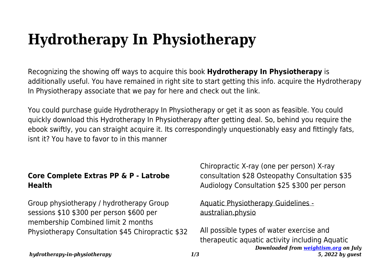# **Hydrotherapy In Physiotherapy**

Recognizing the showing off ways to acquire this book **Hydrotherapy In Physiotherapy** is additionally useful. You have remained in right site to start getting this info. acquire the Hydrotherapy In Physiotherapy associate that we pay for here and check out the link.

You could purchase guide Hydrotherapy In Physiotherapy or get it as soon as feasible. You could quickly download this Hydrotherapy In Physiotherapy after getting deal. So, behind you require the ebook swiftly, you can straight acquire it. Its correspondingly unquestionably easy and fittingly fats, isnt it? You have to favor to in this manner

## **Core Complete Extras PP & P - Latrobe Health**

Group physiotherapy / hydrotherapy Group sessions \$10 \$300 per person \$600 per membership Combined limit 2 months Physiotherapy Consultation \$45 Chiropractic \$32 Chiropractic X-ray (one per person) X-ray consultation \$28 Osteopathy Consultation \$35 Audiology Consultation \$25 \$300 per person

### Aquatic Physiotherapy Guidelines australian.physio

*Downloaded from [weightism.org](https://weightism.org) on July 5, 2022 by guest* All possible types of water exercise and therapeutic aquatic activity including Aquatic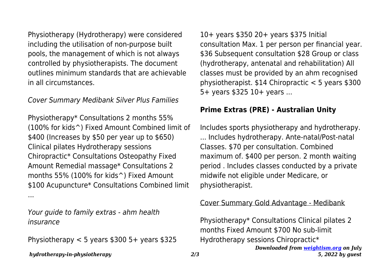Physiotherapy (Hydrotherapy) were considered including the utilisation of non-purpose built pools, the management of which is not always controlled by physiotherapists. The document outlines minimum standards that are achievable in all circumstances.

#### Cover Summary Medibank Silver Plus Families

Physiotherapy\* Consultations 2 months 55% (100% for kids^) Fixed Amount Combined limit of \$400 (Increases by \$50 per year up to \$650) Clinical pilates Hydrotherapy sessions Chiropractic\* Consultations Osteopathy Fixed Amount Remedial massage\* Consultations 2 months 55% (100% for kids^) Fixed Amount \$100 Acupuncture\* Consultations Combined limit ...

Your guide to family extras - ahm health insurance

Physiotherapy  $< 5$  years \$300 5+ years \$325

10+ years \$350 20+ years \$375 Initial consultation Max. 1 per person per financial year. \$36 Subsequent consultation \$28 Group or class (hydrotherapy, antenatal and rehabilitation) All classes must be provided by an ahm recognised physiotherapist. \$14 Chiropractic < 5 years \$300 5+ years \$325 10+ years ...

#### **Prime Extras (PRE) - Australian Unity**

Includes sports physiotherapy and hydrotherapy. ... Includes hydrotherapy. Ante-natal/Post-natal Classes. \$70 per consultation. Combined maximum of. \$400 per person. 2 month waiting period . Includes classes conducted by a private midwife not eligible under Medicare, or physiotherapist.

#### Cover Summary Gold Advantage - Medibank

*Downloaded from [weightism.org](https://weightism.org) on July 5, 2022 by guest* Physiotherapy\* Consultations Clinical pilates 2 months Fixed Amount \$700 No sub-limit Hydrotherapy sessions Chiropractic\*

*hydrotherapy-in-physiotherapy 2/3*